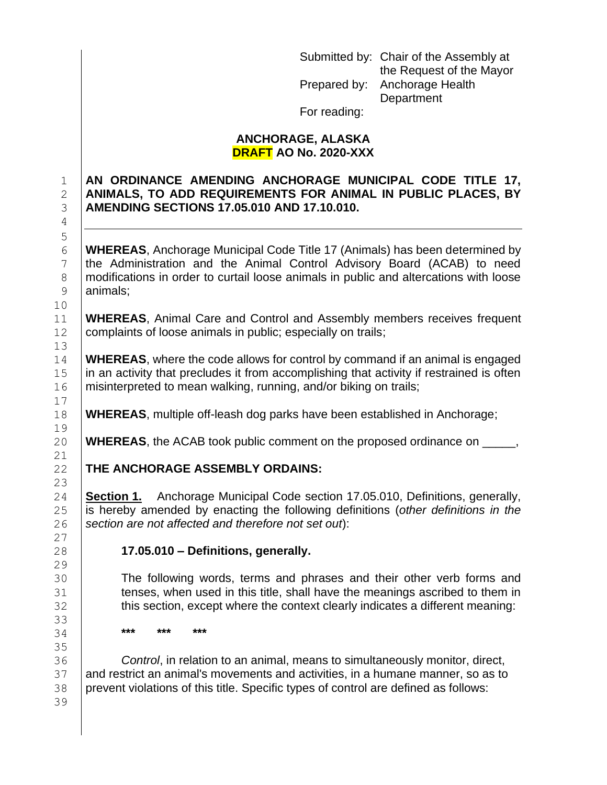Submitted by: Chair of the Assembly at the Request of the Mayor Prepared by: Anchorage Health **Department** For reading:

## **ANCHORAGE, ALASKA DRAFT AO No. 2020-XXX**

## **AN ORDINANCE AMENDING ANCHORAGE MUNICIPAL CODE TITLE 17, ANIMALS, TO ADD REQUIREMENTS FOR ANIMAL IN PUBLIC PLACES, BY AMENDING SECTIONS 17.05.010 AND 17.10.010.**

 **WHEREAS**, Anchorage Municipal Code Title 17 (Animals) has been determined by the Administration and the Animal Control Advisory Board (ACAB) to need 8 modifications in order to curtail loose animals in public and altercations with loose 9 | animals;

 **WHEREAS**, Animal Care and Control and Assembly members receives frequent 12 | complaints of loose animals in public; especially on trails;

 **WHEREAS**, where the code allows for control by command if an animal is engaged in an activity that precludes it from accomplishing that activity if restrained is often 16 | misinterpreted to mean walking, running, and/or biking on trails;

**WHEREAS**, multiple off-leash dog parks have been established in Anchorage;

**WHEREAS**, the ACAB took public comment on the proposed ordinance on \_\_\_\_\_,

## **THE ANCHORAGE ASSEMBLY ORDAINS:**

 **Section 1.** Anchorage Municipal Code section 17.05.010, Definitions, generally, is hereby amended by enacting the following definitions (*other definitions in the section are not affected and therefore not set out*):

## **17.05.010 – Definitions, generally.**

 The following words, terms and phrases and their other verb forms and **tenses, when used in this title, shall have the meanings ascribed to them in this section, except where the context clearly indicates a different meaning:** 

**\*\*\* \*\*\* \*\*\***

 *Control*, in relation to an animal, means to simultaneously monitor, direct, 37 and restrict an animal's movements and activities, in a humane manner, so as to 38 prevent violations of this title. Specific types of control are defined as follows: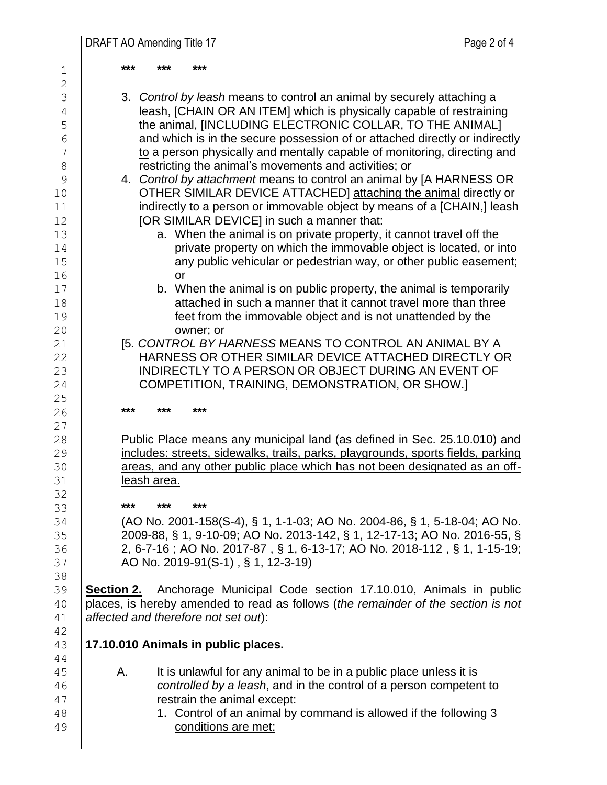**\*\*\* \*\*\* \*\*\*** 3. *Control by leash* means to control an animal by securely attaching a leash, [CHAIN OR AN ITEM] which is physically capable of restraining **the animal, [INCLUDING ELECTRONIC COLLAR, TO THE ANIMAL]**  $6 \mid$  and which is in the secure possession of or attached directly or indirectly  $7 \mid$  to a person physically and mentally capable of monitoring, directing and **Fig. 3** restricting the animal's movements and activities; or 4. *Control by attachment* means to control an animal by [A HARNESS OR OTHER SIMILAR DEVICE ATTACHED] attaching the animal directly or **indirectly to a person or immovable object by means of a [CHAIN,] leash** 12 | **[OR SIMILAR DEVICE]** in such a manner that: **Fig. 2 a.** When the animal is on private property, it cannot travel off the **Fig. 2** private property on which the immovable object is located, or into **15 any public vehicular or pedestrian way, or other public easement;**  or **b.** When the animal is on public property, the animal is temporarily **Fig. 2** attached in such a manner that it cannot travel more than three feet from the immovable object and is not unattended by the **b** owner; or [5*. CONTROL BY HARNESS* MEANS TO CONTROL AN ANIMAL BY A 22 | HARNESS OR OTHER SIMILAR DEVICE ATTACHED DIRECTLY OR 23 | INDIRECTLY TO A PERSON OR OBJECT DURING AN EVENT OF 24 | COMPETITION, TRAINING, DEMONSTRATION, OR SHOW.] **\*\*\* \*\*\* \*\*\* Public Place means any municipal land (as defined in Sec. 25.10.010) and** 29 includes: streets, sidewalks, trails, parks, playgrounds, sports fields, parking **Fig. 20** areas, and any other public place which has not been designated as an off- leash area. **\*\*\* \*\*\* \*\*\*** (AO No. 2001-158(S-4), § 1, 1-1-03; AO No. 2004-86, § 1, 5-18-04; AO No. 2009-88, § 1, 9-10-09; AO No. 2013-142, § 1, 12-17-13; [AO No. 2016-55, §](https://library.municode.com/ak/anchorage/ordinances/code_of_ordinances?nodeId=776105)  [2, 6-7-16 ;](https://library.municode.com/ak/anchorage/ordinances/code_of_ordinances?nodeId=776105) AO No. [2017-87 ,](https://library.municode.com/ak/anchorage/ordinances/code_of_ordinances?nodeId=842192) § 1, 6-13-17; AO No. [2018-112 ,](https://library.municode.com/ak/anchorage/ordinances/code_of_ordinances?nodeId=960912) § 1, 1-15-19; 37 | AO No. 2019-91(S-1), § 1, 12-3-19) **Section 2.** Anchorage Municipal Code section 17.10.010, Animals in public places, is hereby amended to read as follows (*the remainder of the section is not affected and therefore not set out*): **17.10.010 Animals in public places.** 45 A. It is unlawful for any animal to be in a public place unless it is *controlled by a leash*, and in the control of a person competent to **Figure 1** restrain the animal except: 48 | 1. Control of an animal by command is allowed if the following 3 conditions are met: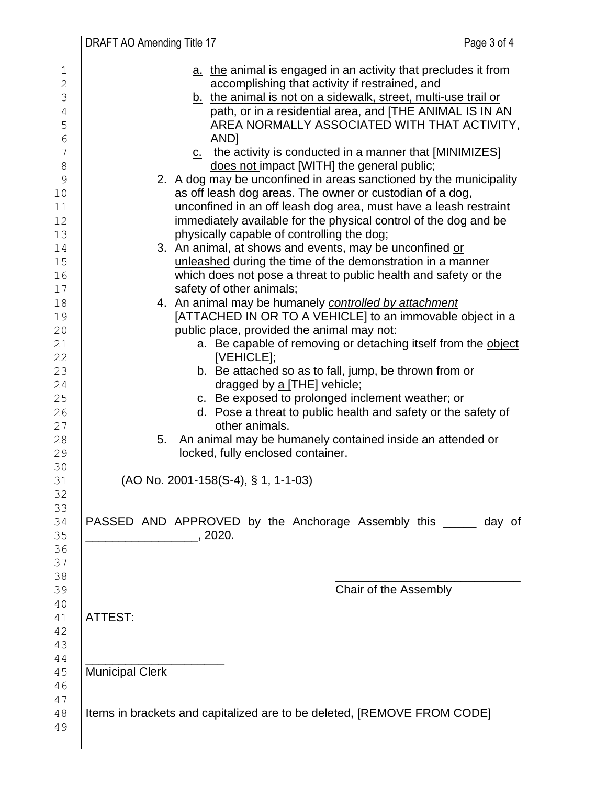| 1             | a. the animal is engaged in an activity that precludes it from          |
|---------------|-------------------------------------------------------------------------|
| $\mathbf{2}$  | accomplishing that activity if restrained, and                          |
| 3             | b. the animal is not on a sidewalk, street, multi-use trail or          |
| 4             | path, or in a residential area, and [THE ANIMAL IS IN AN                |
| 5             | AREA NORMALLY ASSOCIATED WITH THAT ACTIVITY,                            |
| $\epsilon$    | AND <sub>1</sub>                                                        |
| 7             | $c$ the activity is conducted in a manner that [MINIMIZES]              |
| $8\,$         | does not impact [WITH] the general public;                              |
| $\mathcal{G}$ | 2. A dog may be unconfined in areas sanctioned by the municipality      |
| $10$          | as off leash dog areas. The owner or custodian of a dog,                |
| 11            | unconfined in an off leash dog area, must have a leash restraint        |
| 12            | immediately available for the physical control of the dog and be        |
| 13            | physically capable of controlling the dog;                              |
| 14            | 3. An animal, at shows and events, may be unconfined or                 |
| 15            | unleashed during the time of the demonstration in a manner              |
| 16            | which does not pose a threat to public health and safety or the         |
| 17            | safety of other animals;                                                |
| 18            | 4. An animal may be humanely controlled by attachment                   |
| 19            | [ATTACHED IN OR TO A VEHICLE] to an immovable object in a               |
| 20            | public place, provided the animal may not:                              |
| 21            | a. Be capable of removing or detaching itself from the object           |
| 22            | [VEHICLE];                                                              |
| 23            | b. Be attached so as to fall, jump, be thrown from or                   |
| 24            | dragged by a [THE] vehicle;                                             |
| 25            | c. Be exposed to prolonged inclement weather; or                        |
| 26            | d. Pose a threat to public health and safety or the safety of           |
| 27            | other animals.                                                          |
| 28            | An animal may be humanely contained inside an attended or<br>5.         |
| 29            | locked, fully enclosed container.                                       |
| 30            |                                                                         |
| 31            | (AO No. 2001-158(S-4), § 1, 1-1-03)                                     |
| 32            |                                                                         |
| 33            |                                                                         |
| 34            | PASSED AND APPROVED by the Anchorage Assembly this _____ day of         |
| 35            | $\sim$ 2020.                                                            |
| 36            |                                                                         |
| 37            |                                                                         |
| 38            |                                                                         |
| 39            | Chair of the Assembly                                                   |
| 40            |                                                                         |
| 41            | ATTEST:                                                                 |
| 42            |                                                                         |
| 43            |                                                                         |
| 44            |                                                                         |
| 45            | <b>Municipal Clerk</b>                                                  |
| 46            |                                                                         |
| 47            |                                                                         |
| 48            | Items in brackets and capitalized are to be deleted, [REMOVE FROM CODE] |
| 49            |                                                                         |